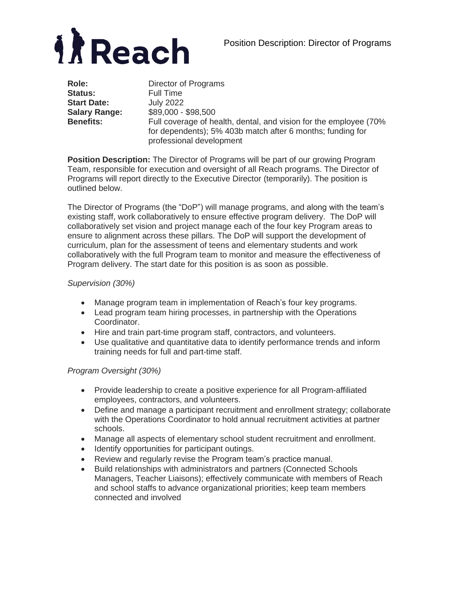



| Role:                | Director of Programs                                                                                                                                        |
|----------------------|-------------------------------------------------------------------------------------------------------------------------------------------------------------|
| <b>Status:</b>       | Full Time                                                                                                                                                   |
| <b>Start Date:</b>   | <b>July 2022</b>                                                                                                                                            |
| <b>Salary Range:</b> | \$89,000 - \$98,500                                                                                                                                         |
| <b>Benefits:</b>     | Full coverage of health, dental, and vision for the employee (70%<br>for dependents); 5% 403b match after 6 months; funding for<br>professional development |

**Position Description:** The Director of Programs will be part of our growing Program Team, responsible for execution and oversight of all Reach programs. The Director of Programs will report directly to the Executive Director (temporarily). The position is outlined below.

The Director of Programs (the "DoP") will manage programs, and along with the team's existing staff, work collaboratively to ensure effective program delivery. The DoP will collaboratively set vision and project manage each of the four key Program areas to ensure to alignment across these pillars. The DoP will support the development of curriculum, plan for the assessment of teens and elementary students and work collaboratively with the full Program team to monitor and measure the effectiveness of Program delivery. The start date for this position is as soon as possible.

#### *Supervision (30%)*

- Manage program team in implementation of Reach's four key programs.
- Lead program team hiring processes, in partnership with the Operations Coordinator.
- Hire and train part-time program staff, contractors, and volunteers.
- Use qualitative and quantitative data to identify performance trends and inform training needs for full and part-time staff.

#### *Program Oversight (30%)*

- Provide leadership to create a positive experience for all Program-affiliated employees, contractors, and volunteers.
- Define and manage a participant recruitment and enrollment strategy; collaborate with the Operations Coordinator to hold annual recruitment activities at partner schools.
- Manage all aspects of elementary school student recruitment and enrollment.
- Identify opportunities for participant outings.
- Review and regularly revise the Program team's practice manual.
- Build relationships with administrators and partners (Connected Schools Managers, Teacher Liaisons); effectively communicate with members of Reach and school staffs to advance organizational priorities; keep team members connected and involved